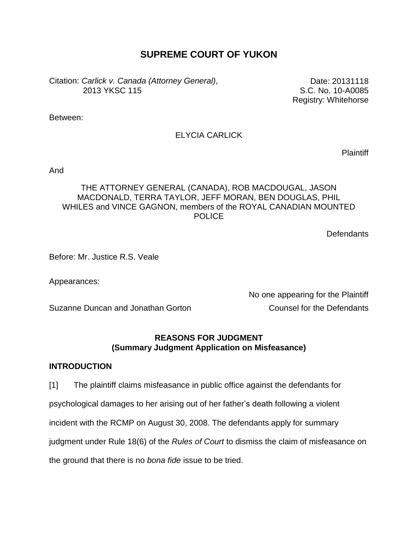# **SUPREME COURT OF YUKON**

Citation: *Carlick v. Canada (Attorney General)*, 2013 YKSC 115

Date: 20131118 S.C. No. 10-A0085 Registry: Whitehorse

Between:

# ELYCIA CARLICK

**Plaintiff** 

And

## THE ATTORNEY GENERAL (CANADA), ROB MACDOUGAL, JASON MACDONALD, TERRA TAYLOR, JEFF MORAN, BEN DOUGLAS, PHIL WHILES and VINCE GAGNON, members of the ROYAL CANADIAN MOUNTED **POLICE**

**Defendants** 

Before: Mr. Justice R.S. Veale

Appearances:

Suzanne Duncan and Jonathan Gorton **Counsel for the Defendants** 

No one appearing for the Plaintiff

## **REASONS FOR JUDGMENT (Summary Judgment Application on Misfeasance)**

### **INTRODUCTION**

[1] The plaintiff claims misfeasance in public office against the defendants for psychological damages to her arising out of her father's death following a violent incident with the RCMP on August 30, 2008. The defendants apply for summary judgment under Rule 18(6) of the *Rules of Court* to dismiss the claim of misfeasance on the ground that there is no *bona fide* issue to be tried.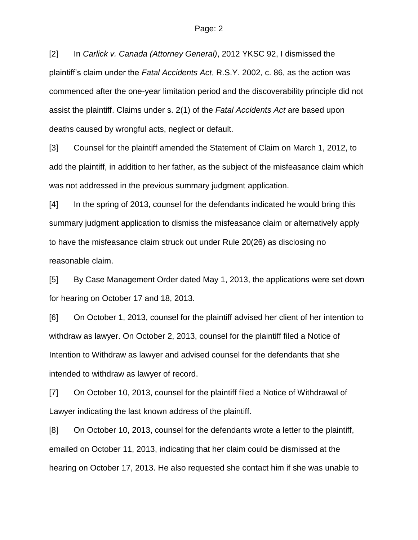[2] In *Carlick v. Canada (Attorney General)*, 2012 YKSC 92, I dismissed the plaintiff's claim under the *Fatal Accidents Act*, R.S.Y. 2002, c. 86, as the action was commenced after the one-year limitation period and the discoverability principle did not assist the plaintiff. Claims under s. 2(1) of the *Fatal Accidents Act* are based upon deaths caused by wrongful acts, neglect or default.

[3] Counsel for the plaintiff amended the Statement of Claim on March 1, 2012, to add the plaintiff, in addition to her father, as the subject of the misfeasance claim which was not addressed in the previous summary judgment application.

[4] In the spring of 2013, counsel for the defendants indicated he would bring this summary judgment application to dismiss the misfeasance claim or alternatively apply to have the misfeasance claim struck out under Rule 20(26) as disclosing no reasonable claim.

[5] By Case Management Order dated May 1, 2013, the applications were set down for hearing on October 17 and 18, 2013.

[6] On October 1, 2013, counsel for the plaintiff advised her client of her intention to withdraw as lawyer. On October 2, 2013, counsel for the plaintiff filed a Notice of Intention to Withdraw as lawyer and advised counsel for the defendants that she intended to withdraw as lawyer of record.

[7] On October 10, 2013, counsel for the plaintiff filed a Notice of Withdrawal of Lawyer indicating the last known address of the plaintiff.

[8] On October 10, 2013, counsel for the defendants wrote a letter to the plaintiff, emailed on October 11, 2013, indicating that her claim could be dismissed at the hearing on October 17, 2013. He also requested she contact him if she was unable to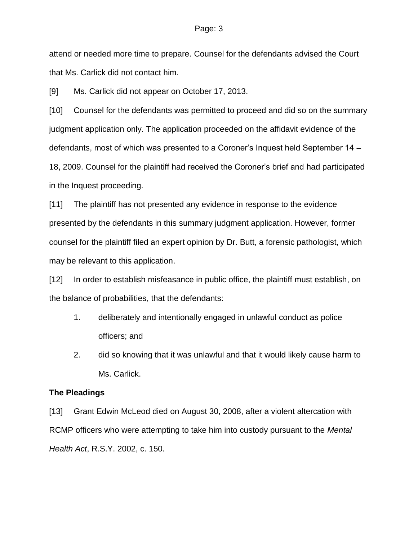attend or needed more time to prepare. Counsel for the defendants advised the Court that Ms. Carlick did not contact him.

[9] Ms. Carlick did not appear on October 17, 2013.

[10] Counsel for the defendants was permitted to proceed and did so on the summary judgment application only. The application proceeded on the affidavit evidence of the defendants, most of which was presented to a Coroner's Inquest held September 14 – 18, 2009. Counsel for the plaintiff had received the Coroner's brief and had participated in the Inquest proceeding.

[11] The plaintiff has not presented any evidence in response to the evidence presented by the defendants in this summary judgment application. However, former counsel for the plaintiff filed an expert opinion by Dr. Butt, a forensic pathologist, which may be relevant to this application.

[12] In order to establish misfeasance in public office, the plaintiff must establish, on the balance of probabilities, that the defendants:

- 1. deliberately and intentionally engaged in unlawful conduct as police officers; and
- 2. did so knowing that it was unlawful and that it would likely cause harm to Ms. Carlick.

### **The Pleadings**

[13] Grant Edwin McLeod died on August 30, 2008, after a violent altercation with RCMP officers who were attempting to take him into custody pursuant to the *Mental Health Act*, R.S.Y. 2002, c. 150.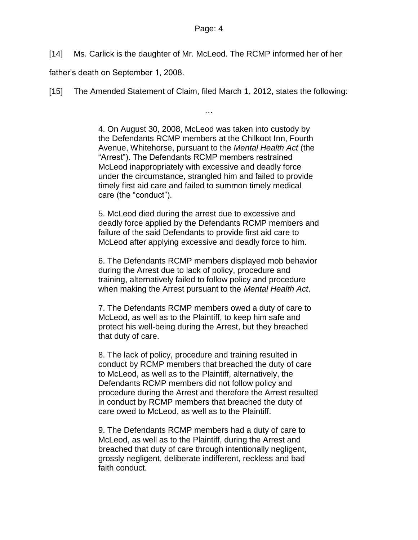[14] Ms. Carlick is the daughter of Mr. McLeod. The RCMP informed her of her

father's death on September 1, 2008.

[15] The Amended Statement of Claim, filed March 1, 2012, states the following:

4. On August 30, 2008, McLeod was taken into custody by the Defendants RCMP members at the Chilkoot Inn, Fourth Avenue, Whitehorse, pursuant to the *Mental Health Act* (the "Arrest"). The Defendants RCMP members restrained McLeod inappropriately with excessive and deadly force under the circumstance, strangled him and failed to provide timely first aid care and failed to summon timely medical care (the "conduct").

…

5. McLeod died during the arrest due to excessive and deadly force applied by the Defendants RCMP members and failure of the said Defendants to provide first aid care to McLeod after applying excessive and deadly force to him.

6. The Defendants RCMP members displayed mob behavior during the Arrest due to lack of policy, procedure and training, alternatively failed to follow policy and procedure when making the Arrest pursuant to the *Mental Health Act*.

7. The Defendants RCMP members owed a duty of care to McLeod, as well as to the Plaintiff, to keep him safe and protect his well-being during the Arrest, but they breached that duty of care.

8. The lack of policy, procedure and training resulted in conduct by RCMP members that breached the duty of care to McLeod, as well as to the Plaintiff, alternatively, the Defendants RCMP members did not follow policy and procedure during the Arrest and therefore the Arrest resulted in conduct by RCMP members that breached the duty of care owed to McLeod, as well as to the Plaintiff.

9. The Defendants RCMP members had a duty of care to McLeod, as well as to the Plaintiff, during the Arrest and breached that duty of care through intentionally negligent, grossly negligent, deliberate indifferent, reckless and bad faith conduct.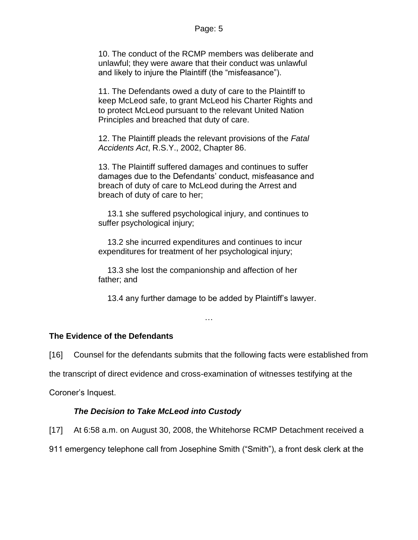10. The conduct of the RCMP members was deliberate and unlawful; they were aware that their conduct was unlawful and likely to injure the Plaintiff (the "misfeasance").

11. The Defendants owed a duty of care to the Plaintiff to keep McLeod safe, to grant McLeod his Charter Rights and to protect McLeod pursuant to the relevant United Nation Principles and breached that duty of care.

12. The Plaintiff pleads the relevant provisions of the *Fatal Accidents Act*, R.S.Y., 2002, Chapter 86.

13. The Plaintiff suffered damages and continues to suffer damages due to the Defendants' conduct, misfeasance and breach of duty of care to McLeod during the Arrest and breach of duty of care to her;

 13.1 she suffered psychological injury, and continues to suffer psychological injury;

 13.2 she incurred expenditures and continues to incur expenditures for treatment of her psychological injury;

 13.3 she lost the companionship and affection of her father; and

13.4 any further damage to be added by Plaintiff's lawyer.

…

## **The Evidence of the Defendants**

[16] Counsel for the defendants submits that the following facts were established from

the transcript of direct evidence and cross-examination of witnesses testifying at the

Coroner's Inquest.

## *The Decision to Take McLeod into Custody*

[17] At 6:58 a.m. on August 30, 2008, the Whitehorse RCMP Detachment received a

911 emergency telephone call from Josephine Smith ("Smith"), a front desk clerk at the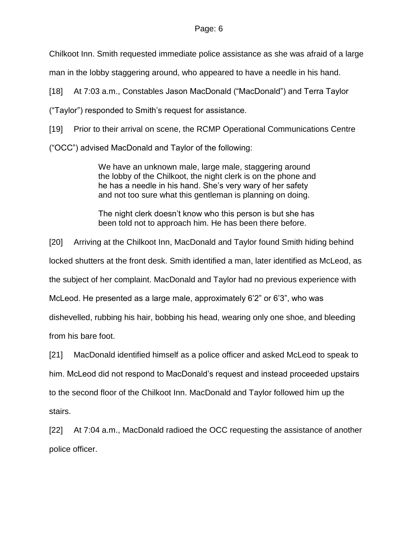Chilkoot Inn. Smith requested immediate police assistance as she was afraid of a large

man in the lobby staggering around, who appeared to have a needle in his hand.

[18] At 7:03 a.m., Constables Jason MacDonald ("MacDonald") and Terra Taylor

("Taylor") responded to Smith's request for assistance.

[19] Prior to their arrival on scene, the RCMP Operational Communications Centre

("OCC") advised MacDonald and Taylor of the following:

We have an unknown male, large male, staggering around the lobby of the Chilkoot, the night clerk is on the phone and he has a needle in his hand. She's very wary of her safety and not too sure what this gentleman is planning on doing.

The night clerk doesn't know who this person is but she has been told not to approach him. He has been there before.

[20] Arriving at the Chilkoot Inn, MacDonald and Taylor found Smith hiding behind

locked shutters at the front desk. Smith identified a man, later identified as McLeod, as

the subject of her complaint. MacDonald and Taylor had no previous experience with

McLeod. He presented as a large male, approximately 6'2" or 6'3", who was

dishevelled, rubbing his hair, bobbing his head, wearing only one shoe, and bleeding

from his bare foot.

[21] MacDonald identified himself as a police officer and asked McLeod to speak to

him. McLeod did not respond to MacDonald's request and instead proceeded upstairs

to the second floor of the Chilkoot Inn. MacDonald and Taylor followed him up the

stairs.

[22] At 7:04 a.m., MacDonald radioed the OCC requesting the assistance of another police officer.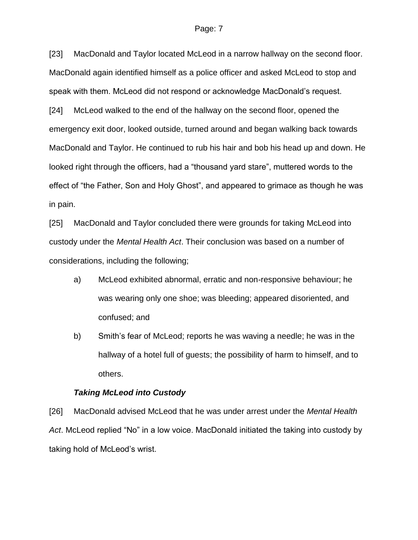[23] MacDonald and Taylor located McLeod in a narrow hallway on the second floor. MacDonald again identified himself as a police officer and asked McLeod to stop and speak with them. McLeod did not respond or acknowledge MacDonald's request.

[24] McLeod walked to the end of the hallway on the second floor, opened the emergency exit door, looked outside, turned around and began walking back towards MacDonald and Taylor. He continued to rub his hair and bob his head up and down. He looked right through the officers, had a "thousand yard stare", muttered words to the effect of "the Father, Son and Holy Ghost", and appeared to grimace as though he was in pain.

[25] MacDonald and Taylor concluded there were grounds for taking McLeod into custody under the *Mental Health Act*. Their conclusion was based on a number of considerations, including the following;

- a) McLeod exhibited abnormal, erratic and non-responsive behaviour; he was wearing only one shoe; was bleeding; appeared disoriented, and confused; and
- b) Smith's fear of McLeod; reports he was waving a needle; he was in the hallway of a hotel full of guests; the possibility of harm to himself, and to others.

### *Taking McLeod into Custody*

[26] MacDonald advised McLeod that he was under arrest under the *Mental Health Act*. McLeod replied "No" in a low voice. MacDonald initiated the taking into custody by taking hold of McLeod's wrist.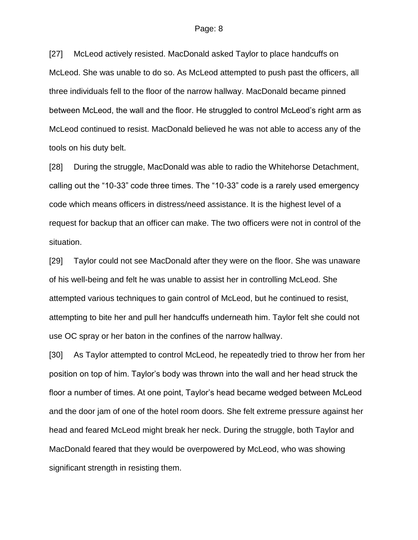[27] McLeod actively resisted. MacDonald asked Taylor to place handcuffs on McLeod. She was unable to do so. As McLeod attempted to push past the officers, all three individuals fell to the floor of the narrow hallway. MacDonald became pinned between McLeod, the wall and the floor. He struggled to control McLeod's right arm as McLeod continued to resist. MacDonald believed he was not able to access any of the tools on his duty belt.

[28] During the struggle, MacDonald was able to radio the Whitehorse Detachment, calling out the "10-33" code three times. The "10-33" code is a rarely used emergency code which means officers in distress/need assistance. It is the highest level of a request for backup that an officer can make. The two officers were not in control of the situation.

[29] Taylor could not see MacDonald after they were on the floor. She was unaware of his well-being and felt he was unable to assist her in controlling McLeod. She attempted various techniques to gain control of McLeod, but he continued to resist, attempting to bite her and pull her handcuffs underneath him. Taylor felt she could not use OC spray or her baton in the confines of the narrow hallway.

[30] As Taylor attempted to control McLeod, he repeatedly tried to throw her from her position on top of him. Taylor's body was thrown into the wall and her head struck the floor a number of times. At one point, Taylor's head became wedged between McLeod and the door jam of one of the hotel room doors. She felt extreme pressure against her head and feared McLeod might break her neck. During the struggle, both Taylor and MacDonald feared that they would be overpowered by McLeod, who was showing significant strength in resisting them.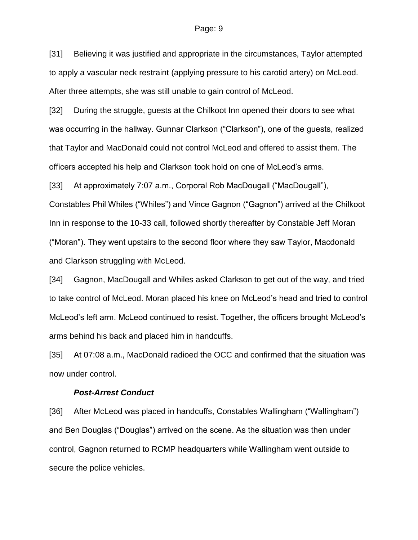[31] Believing it was justified and appropriate in the circumstances, Taylor attempted to apply a vascular neck restraint (applying pressure to his carotid artery) on McLeod. After three attempts, she was still unable to gain control of McLeod.

[32] During the struggle, guests at the Chilkoot Inn opened their doors to see what was occurring in the hallway. Gunnar Clarkson ("Clarkson"), one of the guests, realized that Taylor and MacDonald could not control McLeod and offered to assist them. The officers accepted his help and Clarkson took hold on one of McLeod's arms.

[33] At approximately 7:07 a.m., Corporal Rob MacDougall ("MacDougall"),

Constables Phil Whiles ("Whiles") and Vince Gagnon ("Gagnon") arrived at the Chilkoot Inn in response to the 10-33 call, followed shortly thereafter by Constable Jeff Moran ("Moran"). They went upstairs to the second floor where they saw Taylor, Macdonald and Clarkson struggling with McLeod.

[34] Gagnon, MacDougall and Whiles asked Clarkson to get out of the way, and tried to take control of McLeod. Moran placed his knee on McLeod's head and tried to control McLeod's left arm. McLeod continued to resist. Together, the officers brought McLeod's arms behind his back and placed him in handcuffs.

[35] At 07:08 a.m., MacDonald radioed the OCC and confirmed that the situation was now under control.

#### *Post-Arrest Conduct*

[36] After McLeod was placed in handcuffs, Constables Wallingham ("Wallingham") and Ben Douglas ("Douglas") arrived on the scene. As the situation was then under control, Gagnon returned to RCMP headquarters while Wallingham went outside to secure the police vehicles.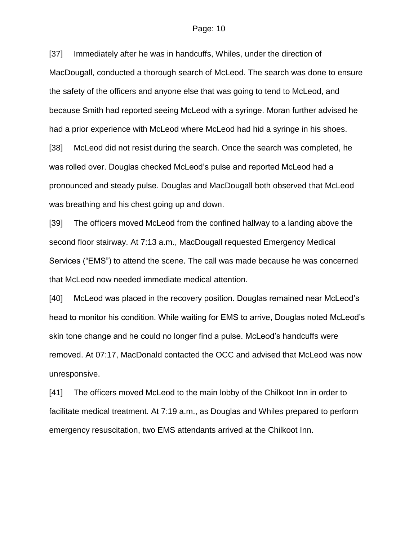[37] Immediately after he was in handcuffs, Whiles, under the direction of MacDougall, conducted a thorough search of McLeod. The search was done to ensure the safety of the officers and anyone else that was going to tend to McLeod, and because Smith had reported seeing McLeod with a syringe. Moran further advised he had a prior experience with McLeod where McLeod had hid a syringe in his shoes. [38] McLeod did not resist during the search. Once the search was completed, he was rolled over. Douglas checked McLeod's pulse and reported McLeod had a pronounced and steady pulse. Douglas and MacDougall both observed that McLeod

was breathing and his chest going up and down.

[39] The officers moved McLeod from the confined hallway to a landing above the second floor stairway. At 7:13 a.m., MacDougall requested Emergency Medical Services ("EMS") to attend the scene. The call was made because he was concerned that McLeod now needed immediate medical attention.

[40] McLeod was placed in the recovery position. Douglas remained near McLeod's head to monitor his condition. While waiting for EMS to arrive, Douglas noted McLeod's skin tone change and he could no longer find a pulse. McLeod's handcuffs were removed. At 07:17, MacDonald contacted the OCC and advised that McLeod was now unresponsive.

[41] The officers moved McLeod to the main lobby of the Chilkoot Inn in order to facilitate medical treatment. At 7:19 a.m., as Douglas and Whiles prepared to perform emergency resuscitation, two EMS attendants arrived at the Chilkoot Inn.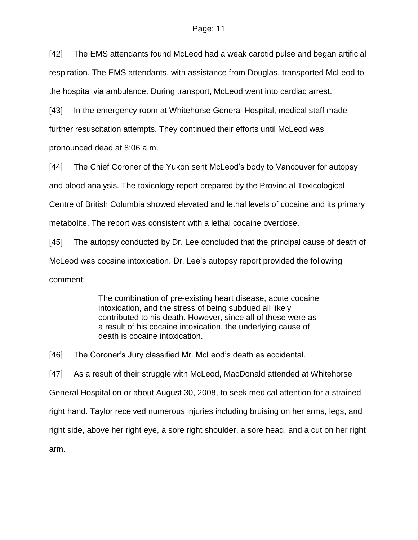[42] The EMS attendants found McLeod had a weak carotid pulse and began artificial respiration. The EMS attendants, with assistance from Douglas, transported McLeod to the hospital via ambulance. During transport, McLeod went into cardiac arrest.

[43] In the emergency room at Whitehorse General Hospital, medical staff made further resuscitation attempts. They continued their efforts until McLeod was pronounced dead at 8:06 a.m.

[44] The Chief Coroner of the Yukon sent McLeod's body to Vancouver for autopsy

and blood analysis. The toxicology report prepared by the Provincial Toxicological

Centre of British Columbia showed elevated and lethal levels of cocaine and its primary

metabolite. The report was consistent with a lethal cocaine overdose.

[45] The autopsy conducted by Dr. Lee concluded that the principal cause of death of McLeod was cocaine intoxication. Dr. Lee's autopsy report provided the following comment:

> The combination of pre-existing heart disease, acute cocaine intoxication, and the stress of being subdued all likely contributed to his death. However, since all of these were as a result of his cocaine intoxication, the underlying cause of death is cocaine intoxication.

[46] The Coroner's Jury classified Mr. McLeod's death as accidental.

[47] As a result of their struggle with McLeod, MacDonald attended at Whitehorse General Hospital on or about August 30, 2008, to seek medical attention for a strained right hand. Taylor received numerous injuries including bruising on her arms, legs, and right side, above her right eye, a sore right shoulder, a sore head, and a cut on her right arm.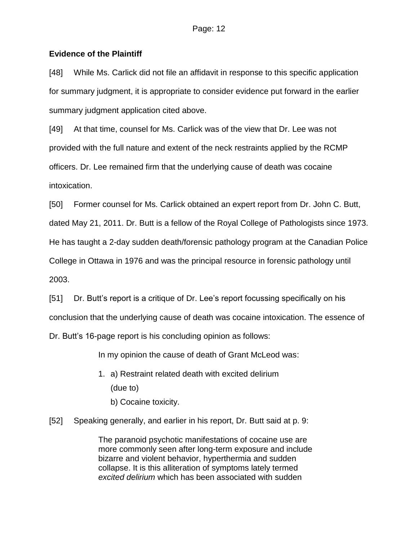## **Evidence of the Plaintiff**

[48] While Ms. Carlick did not file an affidavit in response to this specific application for summary judgment, it is appropriate to consider evidence put forward in the earlier summary judgment application cited above.

[49] At that time, counsel for Ms. Carlick was of the view that Dr. Lee was not provided with the full nature and extent of the neck restraints applied by the RCMP officers. Dr. Lee remained firm that the underlying cause of death was cocaine intoxication.

[50] Former counsel for Ms. Carlick obtained an expert report from Dr. John C. Butt,

dated May 21, 2011. Dr. Butt is a fellow of the Royal College of Pathologists since 1973.

He has taught a 2-day sudden death/forensic pathology program at the Canadian Police

College in Ottawa in 1976 and was the principal resource in forensic pathology until

2003.

[51] Dr. Butt's report is a critique of Dr. Lee's report focussing specifically on his conclusion that the underlying cause of death was cocaine intoxication. The essence of Dr. Butt's 16-page report is his concluding opinion as follows:

In my opinion the cause of death of Grant McLeod was:

- 1. a) Restraint related death with excited delirium (due to)
	- b) Cocaine toxicity.
- [52] Speaking generally, and earlier in his report, Dr. Butt said at p. 9:

The paranoid psychotic manifestations of cocaine use are more commonly seen after long-term exposure and include bizarre and violent behavior, hyperthermia and sudden collapse. It is this alliteration of symptoms lately termed *excited delirium* which has been associated with sudden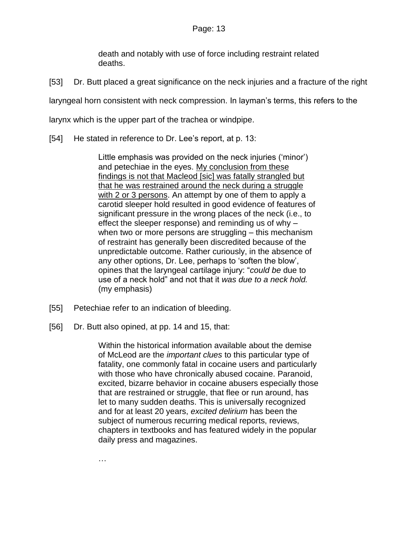death and notably with use of force including restraint related deaths.

[53] Dr. Butt placed a great significance on the neck injuries and a fracture of the right

laryngeal horn consistent with neck compression. In layman's terms, this refers to the

larynx which is the upper part of the trachea or windpipe.

[54] He stated in reference to Dr. Lee's report, at p. 13:

Little emphasis was provided on the neck injuries ('minor') and petechiae in the eyes. My conclusion from these findings is not that Macleod [sic] was fatally strangled but that he was restrained around the neck during a struggle with 2 or 3 persons. An attempt by one of them to apply a carotid sleeper hold resulted in good evidence of features of significant pressure in the wrong places of the neck (i.e., to effect the sleeper response) and reminding us of why – when two or more persons are struggling – this mechanism of restraint has generally been discredited because of the unpredictable outcome. Rather curiously, in the absence of any other options, Dr. Lee, perhaps to 'soften the blow', opines that the laryngeal cartilage injury: "*could be* due to use of a neck hold" and not that it *was due to a neck hold.* (my emphasis)

- [55] Petechiae refer to an indication of bleeding.
- [56] Dr. Butt also opined, at pp. 14 and 15, that:

Within the historical information available about the demise of McLeod are the *important clues* to this particular type of fatality, one commonly fatal in cocaine users and particularly with those who have chronically abused cocaine. Paranoid, excited, bizarre behavior in cocaine abusers especially those that are restrained or struggle, that flee or run around, has let to many sudden deaths. This is universally recognized and for at least 20 years, *excited delirium* has been the subject of numerous recurring medical reports, reviews, chapters in textbooks and has featured widely in the popular daily press and magazines.

…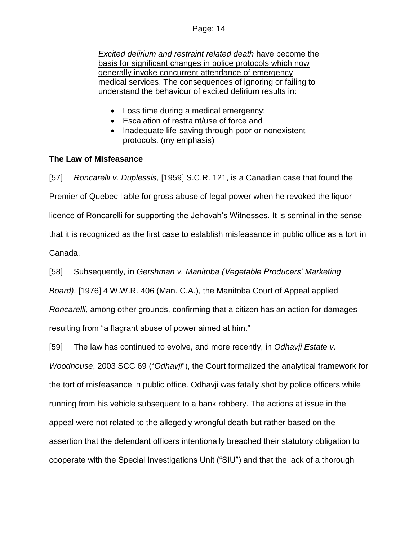*Excited delirium and restraint related death* have become the basis for significant changes in police protocols which now generally invoke concurrent attendance of emergency medical services. The consequences of ignoring or failing to understand the behaviour of excited delirium results in:

- Loss time during a medical emergency;
- Escalation of restraint/use of force and
- Inadequate life-saving through poor or nonexistent protocols. (my emphasis)

## **The Law of Misfeasance**

[57] *Roncarelli v. Duplessis*, [1959] S.C.R. 121, is a Canadian case that found the Premier of Quebec liable for gross abuse of legal power when he revoked the liquor licence of Roncarelli for supporting the Jehovah's Witnesses. It is seminal in the sense that it is recognized as the first case to establish misfeasance in public office as a tort in Canada.

[58] Subsequently, in *Gershman v. Manitoba (Vegetable Producers' Marketing Board)*, [1976] 4 W.W.R. 406 (Man. C.A.), the Manitoba Court of Appeal applied *Roncarelli,* among other grounds, confirming that a citizen has an action for damages resulting from "a flagrant abuse of power aimed at him."

[59] The law has continued to evolve, and more recently, in *Odhavji Estate v. Woodhouse*, 2003 SCC 69 ("*Odhavji*"), the Court formalized the analytical framework for the tort of misfeasance in public office. Odhavji was fatally shot by police officers while running from his vehicle subsequent to a bank robbery. The actions at issue in the appeal were not related to the allegedly wrongful death but rather based on the assertion that the defendant officers intentionally breached their statutory obligation to cooperate with the Special Investigations Unit ("SIU") and that the lack of a thorough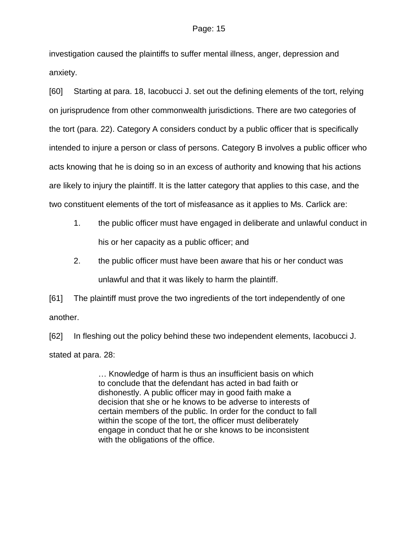investigation caused the plaintiffs to suffer mental illness, anger, depression and anxiety.

[60] Starting at para. 18, Iacobucci J. set out the defining elements of the tort, relying on jurisprudence from other commonwealth jurisdictions. There are two categories of the tort (para. 22). Category A considers conduct by a public officer that is specifically intended to injure a person or class of persons. Category B involves a public officer who acts knowing that he is doing so in an excess of authority and knowing that his actions are likely to injury the plaintiff. It is the latter category that applies to this case, and the two constituent elements of the tort of misfeasance as it applies to Ms. Carlick are:

- 1. the public officer must have engaged in deliberate and unlawful conduct in his or her capacity as a public officer; and
- 2. the public officer must have been aware that his or her conduct was unlawful and that it was likely to harm the plaintiff.

[61] The plaintiff must prove the two ingredients of the tort independently of one another.

[62] In fleshing out the policy behind these two independent elements, Iacobucci J. stated at para. 28:

> … Knowledge of harm is thus an insufficient basis on which to conclude that the defendant has acted in bad faith or dishonestly. A public officer may in good faith make a decision that she or he knows to be adverse to interests of certain members of the public. In order for the conduct to fall within the scope of the tort, the officer must deliberately engage in conduct that he or she knows to be inconsistent with the obligations of the office.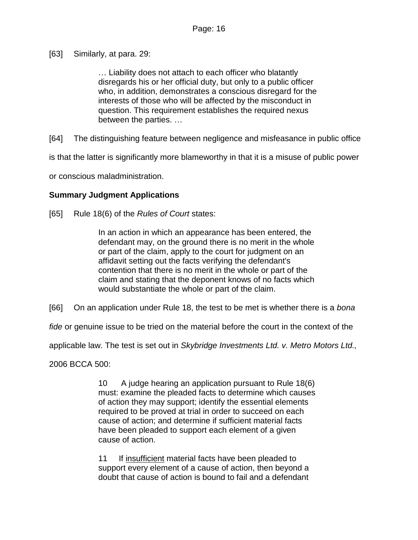[63] Similarly, at para. 29:

… Liability does not attach to each officer who blatantly disregards his or her official duty, but only to a public officer who, in addition, demonstrates a conscious disregard for the interests of those who will be affected by the misconduct in question. This requirement establishes the required nexus between the parties. …

[64] The distinguishing feature between negligence and misfeasance in public office

is that the latter is significantly more blameworthy in that it is a misuse of public power

or conscious maladministration.

## **Summary Judgment Applications**

[65] Rule 18(6) of the *Rules of Court* states:

In an action in which an appearance has been entered, the defendant may, on the ground there is no merit in the whole or part of the claim, apply to the court for judgment on an affidavit setting out the facts verifying the defendant's contention that there is no merit in the whole or part of the claim and stating that the deponent knows of no facts which would substantiate the whole or part of the claim.

[66] On an application under Rule 18, the test to be met is whether there is a *bona* 

*fide* or genuine issue to be tried on the material before the court in the context of the

applicable law. The test is set out in *Skybridge Investments Ltd. v. Metro Motors Ltd.,*

2006 BCCA 500:

10 A judge hearing an application pursuant to Rule 18(6) must: examine the pleaded facts to determine which causes of action they may support; identify the essential elements required to be proved at trial in order to succeed on each cause of action; and determine if sufficient material facts have been pleaded to support each element of a given cause of action.

11 If insufficient material facts have been pleaded to support every element of a cause of action, then beyond a doubt that cause of action is bound to fail and a defendant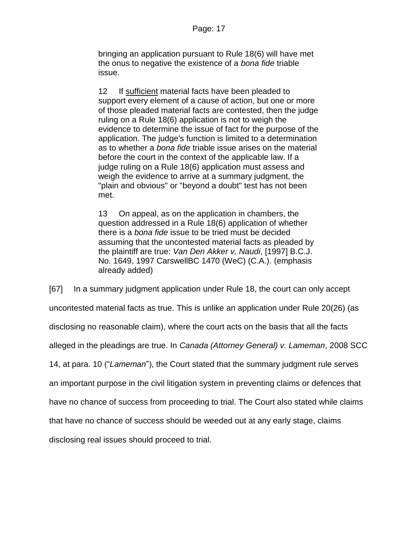bringing an application pursuant to Rule 18(6) will have met the onus to negative the existence of a *bona fide* triable issue.

12 If sufficient material facts have been pleaded to support every element of a cause of action, but one or more of those pleaded material facts are contested, then the judge ruling on a Rule 18(6) application is not to weigh the evidence to determine the issue of fact for the purpose of the application. The judge's function is limited to a determination as to whether a *bona fide* triable issue arises on the material before the court in the context of the applicable law. If a judge ruling on a Rule 18(6) application must assess and weigh the evidence to arrive at a summary judgment, the "plain and obvious" or "beyond a doubt" test has not been met.

13 On appeal, as on the application in chambers, the question addressed in a Rule 18(6) application of whether there is a *bona fide* issue to be tried must be decided assuming that the uncontested material facts as pleaded by the plaintiff are true: *Van Den Akker v. Naudi*, [\[1997\] B.C.J.](http://www.lexisnexis.com/ca/legal/search/runRemoteLink.do?A=0.2291914332777325&bct=A&service=citation&risb=21_T18545006390&langcountry=CA&linkInfo=F%23CA%23BCJ%23ref%251649%25sel1%251997%25year%251997%25)  [No. 1649,](http://www.lexisnexis.com/ca/legal/search/runRemoteLink.do?A=0.2291914332777325&bct=A&service=citation&risb=21_T18545006390&langcountry=CA&linkInfo=F%23CA%23BCJ%23ref%251649%25sel1%251997%25year%251997%25) 1997 CarswellBC 1470 (WeC) (C.A.). (emphasis already added)

[67] In a summary judgment application under Rule 18, the court can only accept uncontested material facts as true. This is unlike an application under Rule 20(26) (as disclosing no reasonable claim), where the court acts on the basis that all the facts alleged in the pleadings are true. In *Canada (Attorney General) v. Lameman*, 2008 SCC 14, at para. 10 ("*Lameman*"), the Court stated that the summary judgment rule serves an important purpose in the civil litigation system in preventing claims or defences that have no chance of success from proceeding to trial. The Court also stated while claims that have no chance of success should be weeded out at any early stage, claims disclosing real issues should proceed to trial.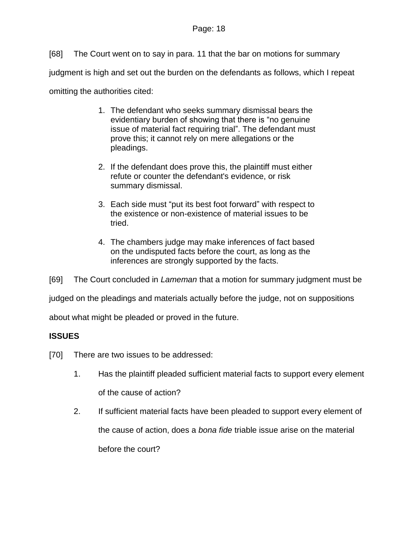[68] The Court went on to say in para. 11 that the bar on motions for summary judgment is high and set out the burden on the defendants as follows, which I repeat omitting the authorities cited:

- 1. The defendant who seeks summary dismissal bears the evidentiary burden of showing that there is "no genuine issue of material fact requiring trial". The defendant must prove this; it cannot rely on mere allegations or the pleadings.
- 2. If the defendant does prove this, the plaintiff must either refute or counter the defendant's evidence, or risk summary dismissal.
- 3. Each side must "put its best foot forward" with respect to the existence or non-existence of material issues to be tried.
- 4. The chambers judge may make inferences of fact based on the undisputed facts before the court, as long as the inferences are strongly supported by the facts.

[69] The Court concluded in *Lameman* that a motion for summary judgment must be

judged on the pleadings and materials actually before the judge, not on suppositions

about what might be pleaded or proved in the future.

# **ISSUES**

- [70] There are two issues to be addressed:
	- 1. Has the plaintiff pleaded sufficient material facts to support every element of the cause of action?
	- 2. If sufficient material facts have been pleaded to support every element of the cause of action, does a *bona fide* triable issue arise on the material before the court?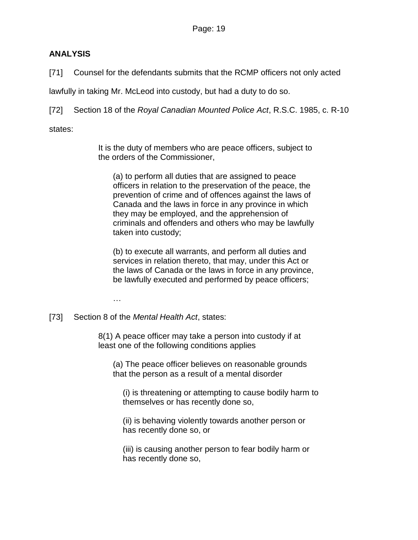# **ANALYSIS**

[71] Counsel for the defendants submits that the RCMP officers not only acted

lawfully in taking Mr. McLeod into custody, but had a duty to do so.

[72] Section 18 of the *Royal Canadian Mounted Police Act*, R.S.C. 1985, c. R-10

states:

It is the duty of members who are peace officers, subject to the orders of the Commissioner,

(a) to perform all duties that are assigned to peace officers in relation to the preservation of the peace, the prevention of crime and of offences against the laws of Canada and the laws in force in any province in which they may be employed, and the apprehension of criminals and offenders and others who may be lawfully taken into custody;

(b) to execute all warrants, and perform all duties and services in relation thereto, that may, under this Act or the laws of Canada or the laws in force in any province, be lawfully executed and performed by peace officers;

…

[73] Section 8 of the *Mental Health Act*, states:

8(1) A peace officer may take a person into custody if at least one of the following conditions applies

(a) The peace officer believes on reasonable grounds that the person as a result of a mental disorder

(i) is threatening or attempting to cause bodily harm to themselves or has recently done so,

(ii) is behaving violently towards another person or has recently done so, or

(iii) is causing another person to fear bodily harm or has recently done so,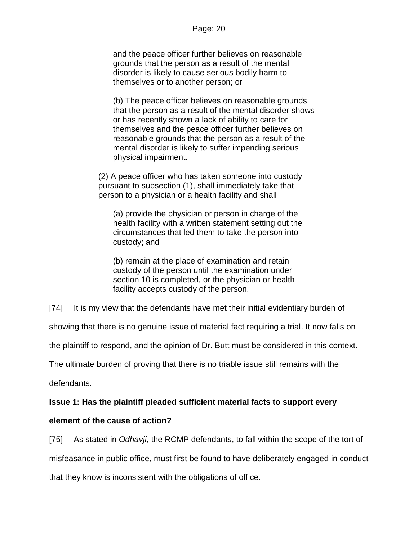and the peace officer further believes on reasonable grounds that the person as a result of the mental disorder is likely to cause serious bodily harm to themselves or to another person; or

(b) The peace officer believes on reasonable grounds that the person as a result of the mental disorder shows or has recently shown a lack of ability to care for themselves and the peace officer further believes on reasonable grounds that the person as a result of the mental disorder is likely to suffer impending serious physical impairment.

(2) A peace officer who has taken someone into custody pursuant to subsection (1), shall immediately take that person to a physician or a health facility and shall

(a) provide the physician or person in charge of the health facility with a written statement setting out the circumstances that led them to take the person into custody; and

(b) remain at the place of examination and retain custody of the person until the examination under section 10 is completed, or the physician or health facility accepts custody of the person.

[74] It is my view that the defendants have met their initial evidentiary burden of

showing that there is no genuine issue of material fact requiring a trial. It now falls on

the plaintiff to respond, and the opinion of Dr. Butt must be considered in this context.

The ultimate burden of proving that there is no triable issue still remains with the

defendants.

# **Issue 1: Has the plaintiff pleaded sufficient material facts to support every**

## **element of the cause of action?**

[75] As stated in *Odhavji*, the RCMP defendants, to fall within the scope of the tort of misfeasance in public office, must first be found to have deliberately engaged in conduct that they know is inconsistent with the obligations of office.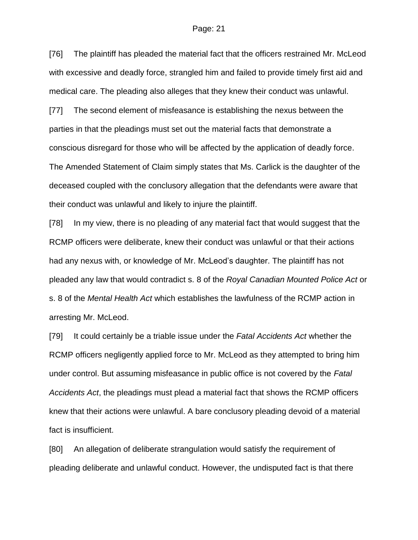[76] The plaintiff has pleaded the material fact that the officers restrained Mr. McLeod with excessive and deadly force, strangled him and failed to provide timely first aid and medical care. The pleading also alleges that they knew their conduct was unlawful.

[77] The second element of misfeasance is establishing the nexus between the parties in that the pleadings must set out the material facts that demonstrate a conscious disregard for those who will be affected by the application of deadly force. The Amended Statement of Claim simply states that Ms. Carlick is the daughter of the deceased coupled with the conclusory allegation that the defendants were aware that their conduct was unlawful and likely to injure the plaintiff.

[78] In my view, there is no pleading of any material fact that would suggest that the RCMP officers were deliberate, knew their conduct was unlawful or that their actions had any nexus with, or knowledge of Mr. McLeod's daughter. The plaintiff has not pleaded any law that would contradict s. 8 of the *Royal Canadian Mounted Police Act* or s. 8 of the *Mental Health Act* which establishes the lawfulness of the RCMP action in arresting Mr. McLeod.

[79] It could certainly be a triable issue under the *Fatal Accidents Act* whether the RCMP officers negligently applied force to Mr. McLeod as they attempted to bring him under control. But assuming misfeasance in public office is not covered by the *Fatal Accidents Act*, the pleadings must plead a material fact that shows the RCMP officers knew that their actions were unlawful. A bare conclusory pleading devoid of a material fact is insufficient.

[80] An allegation of deliberate strangulation would satisfy the requirement of pleading deliberate and unlawful conduct. However, the undisputed fact is that there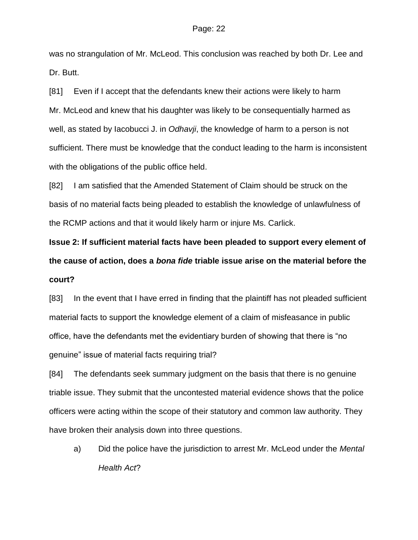was no strangulation of Mr. McLeod. This conclusion was reached by both Dr. Lee and Dr. Butt.

[81] Even if I accept that the defendants knew their actions were likely to harm Mr. McLeod and knew that his daughter was likely to be consequentially harmed as well, as stated by Iacobucci J. in *Odhavji*, the knowledge of harm to a person is not sufficient. There must be knowledge that the conduct leading to the harm is inconsistent with the obligations of the public office held.

[82] I am satisfied that the Amended Statement of Claim should be struck on the basis of no material facts being pleaded to establish the knowledge of unlawfulness of the RCMP actions and that it would likely harm or injure Ms. Carlick.

**Issue 2: If sufficient material facts have been pleaded to support every element of the cause of action, does a** *bona fide* **triable issue arise on the material before the court?**

[83] In the event that I have erred in finding that the plaintiff has not pleaded sufficient material facts to support the knowledge element of a claim of misfeasance in public office, have the defendants met the evidentiary burden of showing that there is "no genuine" issue of material facts requiring trial?

[84] The defendants seek summary judgment on the basis that there is no genuine triable issue. They submit that the uncontested material evidence shows that the police officers were acting within the scope of their statutory and common law authority. They have broken their analysis down into three questions.

a) Did the police have the jurisdiction to arrest Mr. McLeod under the *Mental Health Act*?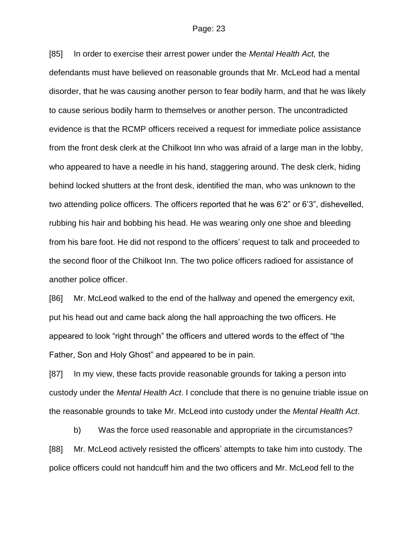[85] In order to exercise their arrest power under the *Mental Health Act,* the defendants must have believed on reasonable grounds that Mr. McLeod had a mental disorder, that he was causing another person to fear bodily harm, and that he was likely to cause serious bodily harm to themselves or another person. The uncontradicted evidence is that the RCMP officers received a request for immediate police assistance from the front desk clerk at the Chilkoot Inn who was afraid of a large man in the lobby, who appeared to have a needle in his hand, staggering around. The desk clerk, hiding behind locked shutters at the front desk, identified the man, who was unknown to the two attending police officers. The officers reported that he was 6'2" or 6'3", dishevelled, rubbing his hair and bobbing his head. He was wearing only one shoe and bleeding from his bare foot. He did not respond to the officers' request to talk and proceeded to the second floor of the Chilkoot Inn. The two police officers radioed for assistance of another police officer.

[86] Mr. McLeod walked to the end of the hallway and opened the emergency exit, put his head out and came back along the hall approaching the two officers. He appeared to look "right through" the officers and uttered words to the effect of "the Father, Son and Holy Ghost" and appeared to be in pain.

[87] In my view, these facts provide reasonable grounds for taking a person into custody under the *Mental Health Act*. I conclude that there is no genuine triable issue on the reasonable grounds to take Mr. McLeod into custody under the *Mental Health Act*.

b) Was the force used reasonable and appropriate in the circumstances? [88] Mr. McLeod actively resisted the officers' attempts to take him into custody. The police officers could not handcuff him and the two officers and Mr. McLeod fell to the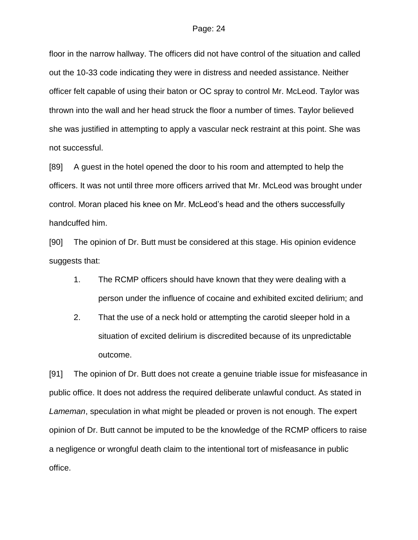floor in the narrow hallway. The officers did not have control of the situation and called out the 10-33 code indicating they were in distress and needed assistance. Neither officer felt capable of using their baton or OC spray to control Mr. McLeod. Taylor was thrown into the wall and her head struck the floor a number of times. Taylor believed she was justified in attempting to apply a vascular neck restraint at this point. She was not successful.

[89] A guest in the hotel opened the door to his room and attempted to help the officers. It was not until three more officers arrived that Mr. McLeod was brought under control. Moran placed his knee on Mr. McLeod's head and the others successfully handcuffed him.

[90] The opinion of Dr. Butt must be considered at this stage. His opinion evidence suggests that:

- 1. The RCMP officers should have known that they were dealing with a person under the influence of cocaine and exhibited excited delirium; and
- 2. That the use of a neck hold or attempting the carotid sleeper hold in a situation of excited delirium is discredited because of its unpredictable outcome.

[91] The opinion of Dr. Butt does not create a genuine triable issue for misfeasance in public office. It does not address the required deliberate unlawful conduct. As stated in *Lameman*, speculation in what might be pleaded or proven is not enough. The expert opinion of Dr. Butt cannot be imputed to be the knowledge of the RCMP officers to raise a negligence or wrongful death claim to the intentional tort of misfeasance in public office.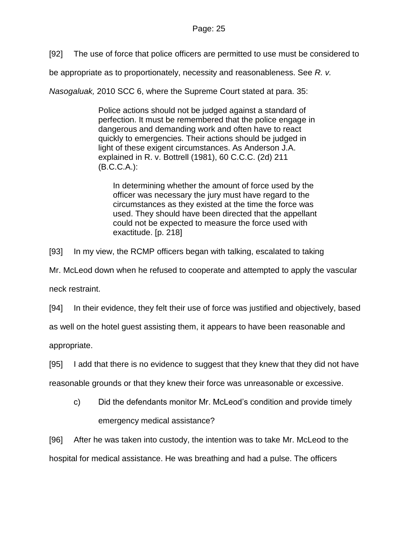[92] The use of force that police officers are permitted to use must be considered to

be appropriate as to proportionately, necessity and reasonableness. See *R. v.* 

*Nasogaluak,* 2010 SCC 6, where the Supreme Court stated at para. 35:

Police actions should not be judged against a standard of perfection. It must be remembered that the police engage in dangerous and demanding work and often have to react quickly to emergencies. Their actions should be judged in light of these exigent circumstances. As Anderson J.A. explained in R. v. Bottrell (1981), 60 C.C.C. (2d) 211 (B.C.C.A.):

In determining whether the amount of force used by the officer was necessary the jury must have regard to the circumstances as they existed at the time the force was used. They should have been directed that the appellant could not be expected to measure the force used with exactitude. [p. 218]

[93] In my view, the RCMP officers began with talking, escalated to taking

Mr. McLeod down when he refused to cooperate and attempted to apply the vascular

neck restraint.

[94] In their evidence, they felt their use of force was justified and objectively, based

as well on the hotel guest assisting them, it appears to have been reasonable and

appropriate.

[95] I add that there is no evidence to suggest that they knew that they did not have

reasonable grounds or that they knew their force was unreasonable or excessive.

c) Did the defendants monitor Mr. McLeod's condition and provide timely emergency medical assistance?

[96] After he was taken into custody, the intention was to take Mr. McLeod to the hospital for medical assistance. He was breathing and had a pulse. The officers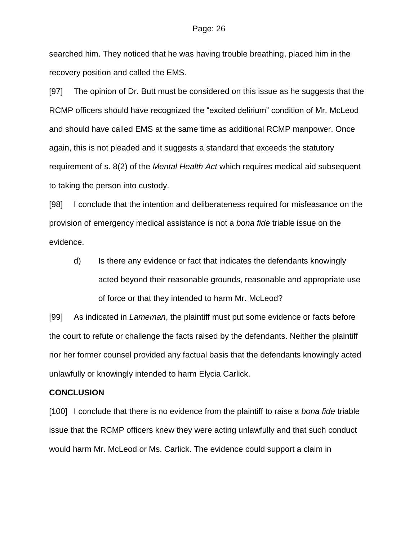searched him. They noticed that he was having trouble breathing, placed him in the recovery position and called the EMS.

[97] The opinion of Dr. Butt must be considered on this issue as he suggests that the RCMP officers should have recognized the "excited delirium" condition of Mr. McLeod and should have called EMS at the same time as additional RCMP manpower. Once again, this is not pleaded and it suggests a standard that exceeds the statutory requirement of s. 8(2) of the *Mental Health Act* which requires medical aid subsequent to taking the person into custody.

[98] I conclude that the intention and deliberateness required for misfeasance on the provision of emergency medical assistance is not a *bona fide* triable issue on the evidence.

d) Is there any evidence or fact that indicates the defendants knowingly acted beyond their reasonable grounds, reasonable and appropriate use of force or that they intended to harm Mr. McLeod?

[99] As indicated in *Lameman*, the plaintiff must put some evidence or facts before the court to refute or challenge the facts raised by the defendants. Neither the plaintiff nor her former counsel provided any factual basis that the defendants knowingly acted unlawfully or knowingly intended to harm Elycia Carlick.

#### **CONCLUSION**

[100] I conclude that there is no evidence from the plaintiff to raise a *bona fide* triable issue that the RCMP officers knew they were acting unlawfully and that such conduct would harm Mr. McLeod or Ms. Carlick. The evidence could support a claim in